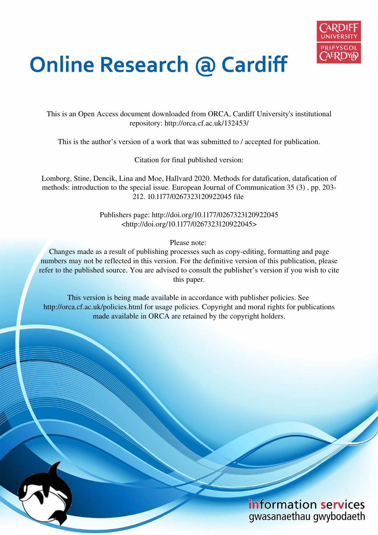

# **Online Research @ Cardiff**

This is an Open Access document downloaded from ORCA, Cardiff University's institutional repository: http://orca.cf.ac.uk/132453/

This is the author's version of a work that was submitted to / accepted for publication.

Citation for final published version:

Lomborg, Stine, Dencik, Lina and Moe, Hallvard 2020. Methods for datafication, datafication of methods: introduction to the special issue. European Journal of Communication 35 (3) , pp. 203- 212. 10.1177/0267323120922045 file

> Publishers page: http://doi.org/10.1177/0267323120922045 <http://doi.org/10.1177/0267323120922045>

> > Please note:

Changes made as a result of publishing processes such as copy-editing, formatting and page numbers may not be reflected in this version. For the definitive version of this publication, please refer to the published source. You are advised to consult the publisher's version if you wish to cite this paper.

This version is being made available in accordance with publisher policies. See http://orca.cf.ac.uk/policies.html for usage policies. Copyright and moral rights for publications made available in ORCA are retained by the copyright holders.

# information services gwasanaethau gwybodaeth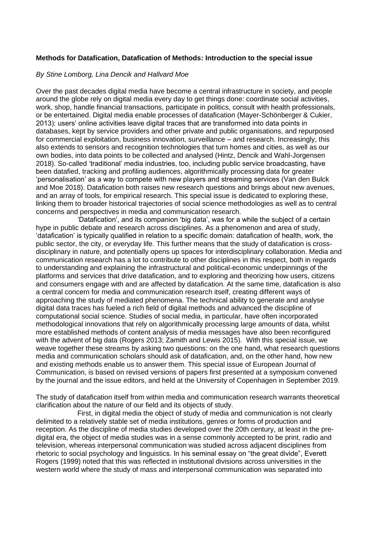# **Methods for Datafication, Datafication of Methods: Introduction to the special issue**

#### By Stine Lomborg, Lina Dencik and Hallvard Moe

Over the past decades digital media have become a central infrastructure in society, and people around the globe rely on digital media every day to get things done: coordinate social activities, work, shop, handle financial transactions, participate in politics, consult with health professionals, or be entertained. Digital media enable processes of datafication (Mayer-Schönberger & Cukier, 2013): users' online activities leave digital traces that are transformed into data points in databases, kept by service providers and other private and public organisations, and repurposed for commercial exploitation, business innovation, surveillance – and research. Increasingly, this also extends to sensors and recognition technologies that turn homes and cities, as well as our own bodies, into data points to be collected and analysed (Hintz, Dencik and Wahl-Jorgensen 2018). So-called 'traditional' media industries, too, including public service broadcasting, have been datafied, tracking and profiling audiences, algorithmically processing data for greater 'personalisation' as a way to compete with new players and streaming services (Van den Bulck and Moe 2018). Datafication both raises new research questions and brings about new avenues, and an array of tools, for empirical research. This special issue is dedicated to exploring these, linking them to broader historical trajectories of social science methodologies as well as to central concerns and perspectives in media and communication research.

'Datafication', and its companion 'big data', was for a while the subject of a certain hype in public debate and research across disciplines. As a phenomenon and area of study, 'datafication' is typically qualified in relation to a specific domain: datafication of health, work, the public sector, the city, or everyday life. This further means that the study of datafication is crossdisciplinary in nature, and potentially opens up spaces for interdisciplinary collaboration. Media and communication research has a lot to contribute to other disciplines in this respect, both in regards to understanding and explaining the infrastructural and political-economic underpinnings of the platforms and services that drive datafication, and to exploring and theorizing how users, citizens and consumers engage with and are affected by datafication. At the same time, datafication is also a central concern for media and communication research itself, creating different ways of approaching the study of mediated phenomena. The technical ability to generate and analyse digital data traces has fueled a rich field of digital methods and advanced the discipline of computational social science. Studies of social media, in particular, have often incorporated methodological innovations that rely on algorithmically processing large amounts of data, whilst more established methods of content analysis of media messages have also been reconfigured with the advent of big data (Rogers 2013; Zamith and Lewis 2015). With this special issue, we weave together these streams by asking two questions: on the one hand, what research questions media and communication scholars should ask of datafication, and, on the other hand, how new and existing methods enable us to answer them. This special issue of European Journal of Communication, is based on revised versions of papers first presented at a symposium convened by the journal and the issue editors, and held at the University of Copenhagen in September 2019.

The study of datafication itself from within media and communication research warrants theoretical clarification about the nature of our field and its objects of study.

First, in digital media the object of study of media and communication is not clearly delimited to a relatively stable set of media institutions, genres or forms of production and reception. As the discipline of media studies developed over the 20th century, at least in the predigital era, the object of media studies was in a sense commonly accepted to be print, radio and television, whereas interpersonal communication was studied across adjacent disciplines from rhetoric to social psychology and linguistics. In his seminal essay on "the great divide", Everett Rogers (1999) noted that this was reflected in institutional divisions across universities in the western world where the study of mass and interpersonal communication was separated into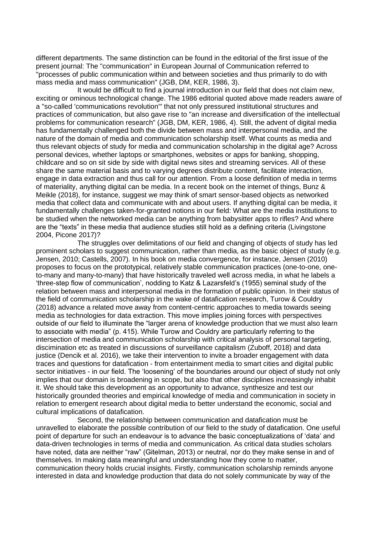different departments. The same distinction can be found in the editorial of the first issue of the present journal: The "communication" in European Journal of Communication referred to "processes of public communication within and between societies and thus primarily to do with mass media and mass communication" (JGB, DM, KER, 1986, 3).

It would be difficult to find a journal introduction in our field that does not claim new, exciting or ominous technological change. The 1986 editorial quoted above made readers aware of a "so-called 'communications revolution'" that not only pressured institutional structures and practices of communication, but also gave rise to "an increase and diversification of the intellectual problems for communication research" (JGB, DM, KER, 1986, 4). Still, the advent of digital media has fundamentally challenged both the divide between mass and interpersonal media, and the nature of the domain of media and communication scholarship itself. What counts as media and thus relevant objects of study for media and communication scholarship in the digital age? Across personal devices, whether laptops or smartphones, websites or apps for banking, shopping, childcare and so on sit side by side with digital news sites and streaming services. All of these share the same material basis and to varying degrees distribute content, facilitate interaction, engage in data extraction and thus call for our attention. From a loose definition of media in terms of materiality, anything digital can be media. In a recent book on the internet of things, Bunz & Meikle (2018), for instance, suggest we may think of smart sensor-based objects as networked media that collect data and communicate with and about users. If anything digital can be media, it fundamentally challenges taken-for-granted notions in our field: What are the media institutions to be studied when the networked media can be anything from babysitter apps to rifles? And where are the "texts" in these media that audience studies still hold as a defining criteria (Livingstone 2004, Picone 2017)?

The struggles over delimitations of our field and changing of objects of study has led prominent scholars to suggest communication, rather than media, as the basic object of study (e.g. Jensen, 2010; Castells, 2007). In his book on media convergence, for instance, Jensen (2010) proposes to focus on the prototypical, relatively stable communication practices (one-to-one, oneto-many and many-to-many) that have historically traveled well across media, in what he labels a 'three-step flow of communication', nodding to Katz & Lazarsfeld's (1955) seminal study of the relation between mass and interpersonal media in the formation of public opinion. In their status of the field of communication scholarship in the wake of datafication research, Turow & Couldry (2018) advance a related move away from content-centric approaches to media towards seeing media as technologies for data extraction. This move implies joining forces with perspectives outside of our field to illuminate the "larger arena of knowledge production that we must also learn to associate with media" (p. 415). While Turow and Couldry are particularly referring to the intersection of media and communication scholarship with critical analysis of personal targeting, discimination etc as treated in discussions of surveillance capitalism (Zuboff, 2018) and data justice (Dencik et al. 2016), we take their intervention to invite a broader engagement with data traces and questions for datafication - from entertainment media to smart cities and digital public sector initiatives - in our field. The 'loosening' of the boundaries around our object of study not only implies that our domain is broadening in scope, but also that other disciplines increasingly inhabit it. We should take this development as an opportunity to advance, synthesize and test our historically grounded theories and empirical knowledge of media and communication in society in relation to emergent research about digital media to better understand the economic, social and cultural implications of datafication.

Second, the relationship between communication and datafication must be unravelled to elaborate the possible contribution of our field to the study of datafication. One useful point of departure for such an endeavour is to advance the basic conceptualizations of 'data' and data-driven technologies in terms of media and communication. As critical data studies scholars have noted, data are neither "raw" (Gitelman, 2013) or neutral, nor do they make sense in and of themselves. In making data meaningful and understanding how they come to matter, communication theory holds crucial insights. Firstly, communication scholarship reminds anyone interested in data and knowledge production that data do not solely communicate by way of the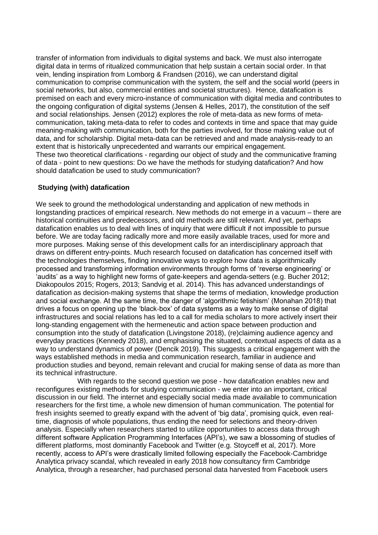transfer of information from individuals to digital systems and back. We must also interrogate digital data in terms of ritualized communication that help sustain a certain social order. In that vein, lending inspiration from Lomborg & Frandsen (2016), we can understand digital communication to comprise communication with the system, the self and the social world (peers in social networks, but also, commercial entities and societal structures). Hence, datafication is premised on each and every micro-instance of communication with digital media and contributes to the ongoing configuration of digital systems (Jensen & Helles, 2017), the constitution of the self and social relationships. Jensen (2012) explores the role of meta-data as new forms of metacommunication, taking meta-data to refer to codes and contexts in time and space that may guide meaning-making with communication, both for the parties involved, for those making value out of data, and for scholarship. Digital meta-data can be retrieved and and made analysis-ready to an extent that is historically unprecedented and warrants our empirical engagement. These two theoretical clarifications - regarding our object of study and the communicative framing of data - point to new questions: Do we have the methods for studying datafication? And how should datafication be used to study communication?

# **Studying (with) datafication**

We seek to ground the methodological understanding and application of new methods in longstanding practices of empirical research. New methods do not emerge in a vacuum – there are historical continuities and predecessors, and old methods are still relevant. And yet, perhaps datafication enables us to deal with lines of inquiry that were difficult if not impossible to pursue before. We are today facing radically more and more easily available traces, used for more and more purposes. Making sense of this development calls for an interdisciplinary approach that draws on different entry-points. Much research focused on datafication has concerned itself with the technologies themselves, finding innovative ways to explore how data is algorithmically processed and transforming information environments through forms of 'reverse engineering' or 'audits' as a way to highlight new forms of gate-keepers and agenda-setters (e.g. Bucher 2012; Diakopoulos 2015; Rogers, 2013; Sandvig et al. 2014). This has advanced understandings of datafication as decision-making systems that shape the terms of mediation, knowledge production and social exchange. At the same time, the danger of 'algorithmic fetishism' (Monahan 2018) that drives a focus on opening up the 'black-box' of data systems as a way to make sense of digital infrastructures and social relations has led to a call for media scholars to more actively insert their long-standing engagement with the hermeneutic and action space between production and consumption into the study of datafication (Livingstone 2018), (re)claiming audience agency and everyday practices (Kennedy 2018), and emphasising the situated, contextual aspects of data as a way to understand dynamics of power (Dencik 2019). This suggests a critical engagement with the ways established methods in media and communication research, familiar in audience and production studies and beyond, remain relevant and crucial for making sense of data as more than its technical infrastructure.

With regards to the second question we pose - how datafication enables new and reconfigures existing methods for studying communication - we enter into an important, critical discussion in our field. The internet and especially social media made available to communication researchers for the first time, a whole new dimension of human communication. The potential for fresh insights seemed to greatly expand with the advent of 'big data', promising quick, even realtime, diagnosis of whole populations, thus ending the need for selections and theory-driven analysis. Especially when researchers started to utilize opportunities to access data through different software Application Programming Interfaces (API's), we saw a blossoming of studies of different platforms, most dominantly Facebook and Twitter (e.g. Stoyceff et al, 2017). More recently, access to API's were drastically limited following especially the Facebook-Cambridge Analytica privacy scandal, which revealed in early 2018 how consultancy firm Cambridge Analytica, through a researcher, had purchased personal data harvested from Facebook users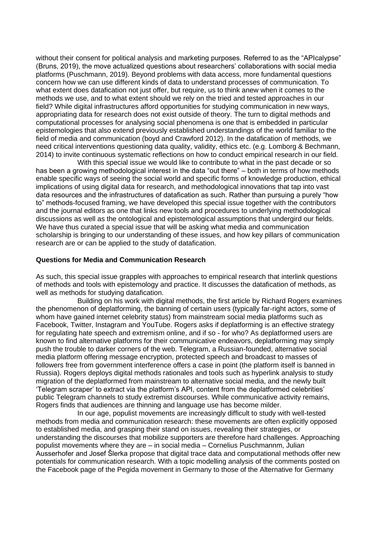without their consent for political analysis and marketing purposes. Referred to as the "APIcalypse" (Bruns, 2019), the move actualized questions about researchers' collaborations with social media platforms (Puschmann, 2019). Beyond problems with data access, more fundamental questions concern how we can use different kinds of data to understand processes of communication. To what extent does datafication not just offer, but require, us to think anew when it comes to the methods we use, and to what extent should we rely on the tried and tested approaches in our field? While digital infrastructures afford opportunities for studying communication in new ways, appropriating data for research does not exist outside of theory. The turn to digital methods and computational processes for analysing social phenomena is one that is embedded in particular epistemologies that also extend previously established understandings of the world familiar to the field of media and communication (boyd and Crawford 2012). In the datafication of methods, we need critical interventions questioning data quality, validity, ethics etc. (e.g. Lomborg & Bechmann, 2014) to invite continuous systematic reflections on how to conduct empirical research in our field.

With this special issue we would like to contribute to what in the past decade or so has been a growing methodological interest in the data "out there" – both in terms of how methods enable specific ways of seeing the social world and specific forms of knowledge production, ethical implications of using digital data for research, and methodological innovations that tap into vast data resources and the infrastructures of datafication as such. Rather than pursuing a purely "how to" methods-focused framing, we have developed this special issue together with the contributors and the journal editors as one that links new tools and procedures to underlying methodological discussions as well as the ontological and epistemological assumptions that undergird our fields. We have thus curated a special issue that will be asking what media and communication scholarship is bringing to our understanding of these issues, and how key pillars of communication research are or can be applied to the study of datafication.

## **Questions for Media and Communication Research**

As such, this special issue grapples with approaches to empirical research that interlink questions of methods and tools with epistemology and practice. It discusses the datafication of methods, as well as methods for studying datafication.

Building on his work with digital methods, the first article by Richard Rogers examines the phenomenon of deplatforming, the banning of certain users (typically far-right actors, some of whom have gained internet celebrity status) from mainstream social media platforms such as Facebook, Twitter, Instagram and YouTube. Rogers asks if deplatforming is an effective strategy for regulating hate speech and extremism online, and if so - for who? As deplatformed users are known to find alternative platforms for their communicative endeavors, deplatforming may simply push the trouble to darker corners of the web. Telegram, a Russian-founded, alternative social media platform offering message encryption, protected speech and broadcast to masses of followers free from government interference offers a case in point (the platform itself is banned in Russia). Rogers deploys digital methods rationales and tools such as hyperlink analysis to study migration of the deplatformed from mainstream to alternative social media, and the newly built 'Telegram scraper' to extract via the platform's API, content from the deplatformed celebrities' public Telegram channels to study extremist discourses. While communicative activity remains, Rogers finds that audiences are thinning and language use has become milder.

In our age, populist movements are increasingly difficult to study with well-tested methods from media and communication research: these movements are often explicitly opposed to established media, and grasping their stand on issues, revealing their strategies, or understanding the discourses that mobilize supporters are therefore hard challenges. Approaching populist movements where they are – in social media – Cornelius Puschmannm, Julian Ausserhofer and Josef Šlerka propose that digital trace data and computational methods offer new potentials for communication research. With a topic modelling analysis of the comments posted on the Facebook page of the Pegida movement in Germany to those of the Alternative for Germany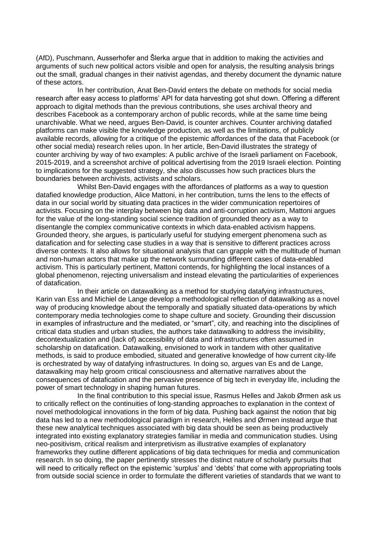(AfD), Puschmann, Ausserhofer and Šlerka argue that in addition to making the activities and arguments of such new political actors visible and open for analysis, the resulting analysis brings out the small, gradual changes in their nativist agendas, and thereby document the dynamic nature of these actors.

In her contribution, Anat Ben-David enters the debate on methods for social media research after easy access to platforms' API for data harvesting got shut down. Offering a different approach to digital methods than the previous contributions, she uses archival theory and describes Facebook as a contemporary archon of public records, while at the same time being unarchivable. What we need, argues Ben-David, is counter archives. Counter archiving datafied platforms can make visible the knowledge production, as well as the limitations, of publicly available records, allowing for a critique of the epistemic affordances of the data that Facebook (or other social media) research relies upon. In her article, Ben-David illustrates the strategy of counter archiving by way of two examples: A public archive of the Israeli parliament on Facebook, 2015-2019, and a screenshot archive of political advertising from the 2019 Israeli election. Pointing to implications for the suggested strategy, she also discusses how such practices blurs the boundaries between archivists, activists and scholars.

Whilst Ben-David engages with the affordances of platforms as a way to question datafied knowledge production, Alice Mattoni, in her contribution, turns the lens to the effects of data in our social world by situating data practices in the wider communication repertoires of activists. Focusing on the interplay between big data and anti-corruption activism, Mattoni argues for the value of the long-standing social science tradition of grounded theory as a way to disentangle the complex communicative contexts in which data-enabled activism happens. Grounded theory, she argues, is particularly useful for studying emergent phenomena such as datafication and for selecting case studies in a way that is sensitive to different practices across diverse contexts. It also allows for situational analysis that can grapple with the multitude of human and non-human actors that make up the network surrounding different cases of data-enabled activism. This is particularly pertinent, Mattoni contends, for highlighting the local instances of a global phenomenon, rejecting universalism and instead elevating the particularities of experiences of datafication.

In their article on datawalking as a method for studying datafying infrastructures, Karin van Ess and Michiel de Lange develop a methodological reflection of datawalking as a novel way of producing knowledge about the temporally and spatially situated data-operations by which contemporary media technologies come to shape culture and society. Grounding their discussion in examples of infrastructure and the mediated, or "smart", city, and reaching into the disciplines of critical data studies and urban studies, the authors take datawalking to address the invisibility, decontextualization and (lack of) accessibility of data and infrastructures often assumed in scholarship on datafication. Datawalking, envisioned to work in tandem with other qualitative methods, is said to produce embodied, situated and generative knowledge of how current city-life is orchestrated by way of datafying infrastructures. In doing so, argues van Es and de Lange, datawalking may help groom critical consciousness and alternative narratives about the consequences of datafication and the pervasive presence of big tech in everyday life, including the power of smart technology in shaping human futures.

In the final contribution to this special issue, Rasmus Helles and Jakob Ørmen ask us to critically reflect on the continuities of long-standing approaches to explanation in the context of novel methodological innovations in the form of big data. Pushing back against the notion that big data has led to a new methodological paradigm in research, Helles and Ørmen instead argue that these new analytical techniques associated with big data should be seen as being productively integrated into existing explanatory strategies familiar in media and communication studies. Using neo-positivism, critical realism and interpretivism as illustrative examples of explanatory frameworks they outline different applications of big data techniques for media and communication research. In so doing, the paper pertinently stresses the distinct nature of scholarly pursuits that will need to critically reflect on the epistemic 'surplus' and 'debts' that come with appropriating tools from outside social science in order to formulate the different varieties of standards that we want to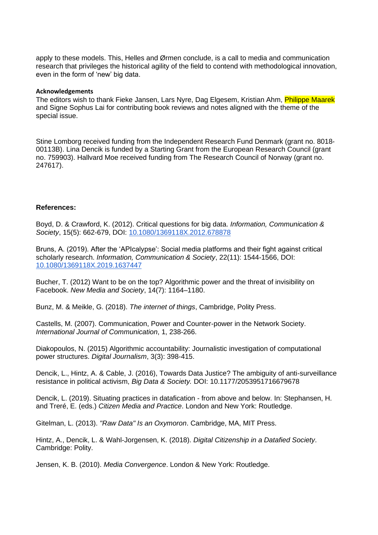apply to these models. This, Helles and Ørmen conclude, is a call to media and communication research that privileges the historical agility of the field to contend with methodological innovation, even in the form of 'new' big data.

#### **Acknowledgements**

The editors wish to thank Fieke Jansen, Lars Nyre, Dag Elgesem, Kristian Ahm, Philippe Maarek and Signe Sophus Lai for contributing book reviews and notes aligned with the theme of the special issue.

Stine Lomborg received funding from the Independent Research Fund Denmark (grant no. 8018- 00113B). Lina Dencik is funded by a Starting Grant from the European Research Council (grant no. 759903). Hallvard Moe received funding from The Research Council of Norway (grant no. 247617).

## **References:**

Boyd, D. & Crawford, K. (2012). Critical questions for big data. Information, Communication & Society, 15(5): 662-679, DOI: [10.1080/1369118X.2012.678878](https://doi.org/10.1080/1369118X.2012.678878)

Bruns, A. (2019). After the 'APIcalypse': Social media platforms and their fight against critical scholarly research. Information, Communication & Society, 22(11): 1544-1566, DOI: [10.1080/1369118X.2019.1637447](https://doi.org/10.1080/1369118X.2019.1637447)

Bucher, T. (2012) Want to be on the top? Algorithmic power and the threat of invisibility on Facebook. New Media and Society, 14(7): 1164–1180.

Bunz, M. & Meikle, G. (2018). The internet of things, Cambridge, Polity Press.

Castells, M. (2007). Communication, Power and Counter-power in the Network Society. International Journal of Communication, 1, 238-266.

Diakopoulos, N. (2015) Algorithmic accountability: Journalistic investigation of computational power structures. Digital Journalism, 3(3): 398-415.

Dencik, L., Hintz, A. & Cable, J. (2016), Towards Data Justice? The ambiguity of anti-surveillance resistance in political activism, Big Data & Society. DOI: 10.1177/2053951716679678

Dencik, L. (2019). Situating practices in datafication - from above and below. In: Stephansen, H. and Treré, E. (eds.) Citizen Media and Practice. London and New York: Routledge.

Gitelman, L. (2013). "Raw Data" Is an Oxymoron. Cambridge, MA, MIT Press.

Hintz, A., Dencik, L. & Wahl-Jorgensen, K. (2018). Digital Citizenship in a Datafied Society. Cambridge: Polity.

Jensen, K. B. (2010). Media Convergence. London & New York: Routledge.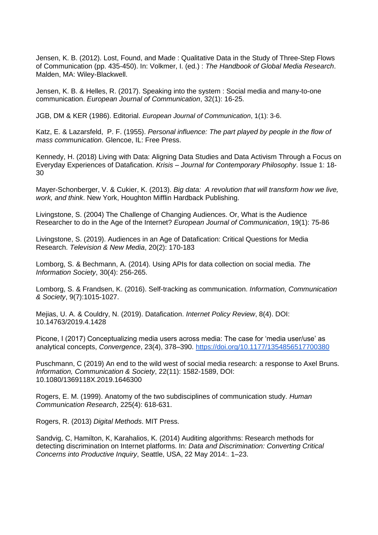Jensen, K. B. (2012). Lost, Found, and Made : Qualitative Data in the Study of Three-Step Flows of Communication (pp. 435-450). In: Volkmer, I. (ed.) : The Handbook of Global Media Research. Malden, MA: Wiley-Blackwell.

Jensen, K. B. & Helles, R. (2017). Speaking into the system : Social media and many-to-one communication. European Journal of Communication, 32(1): 16-25.

JGB, DM & KER (1986). Editorial. European Journal of Communication, 1(1): 3-6.

Katz, E. & Lazarsfeld, P. F. (1955). Personal influence: The part played by people in the flow of mass communication. Glencoe, IL: Free Press.

Kennedy, H. (2018) Living with Data: Aligning Data Studies and Data Activism Through a Focus on Everyday Experiences of Datafication. Krisis *–* Journal for Contemporary Philosophy. Issue 1: 18- 30

Mayer-Schonberger, V. & Cukier, K. (2013). Big data: A revolution that will transform how we live, work, and think. New York, Houghton Mifflin Hardback Publishing.

Livingstone, S. (2004) The Challenge of Changing Audiences. Or, What is the Audience Researcher to do in the Age of the Internet? European Journal of Communication, 19(1): 75-86

Livingstone, S. (2019). Audiences in an Age of Datafication: Critical Questions for Media Research. Television & New Media, 20(2): 170-183

Lomborg, S. & Bechmann, A. (2014). Using APIs for data collection on social media. The Information Society, 30(4): 256-265.

Lomborg, S. & Frandsen, K. (2016). Self-tracking as communication. Information, Communication & Society, 9(7):1015-1027.

Mejias, U. A. & Couldry, N. (2019). Datafication. Internet Policy Review, 8(4). DOI: 10.14763/2019.4.1428

Picone, I (2017) Conceptualizing media users across media: The case for 'media user/use' as analytical concepts, Convergence, 23(4), 378–390.<https://doi.org/10.1177/1354856517700380>

Puschmann, C (2019) An end to the wild west of social media research: a response to Axel Bruns. Information, Communication & Society, 22(11): 1582-1589, DOI: 10.1080/1369118X.2019.1646300

Rogers, E. M. (1999). Anatomy of the two subdisciplines of communication study. Human Communication Research, 225(4): 618-631.

Rogers, R. (2013) Digital Methods. MIT Press.

Sandvig, C, Hamilton, K, Karahalios, K. (2014) Auditing algorithms: Research methods for detecting discrimination on Internet platforms. In: Data and Discrimination: Converting Critical Concerns into Productive Inquiry, Seattle, USA, 22 May 2014:. 1–23.